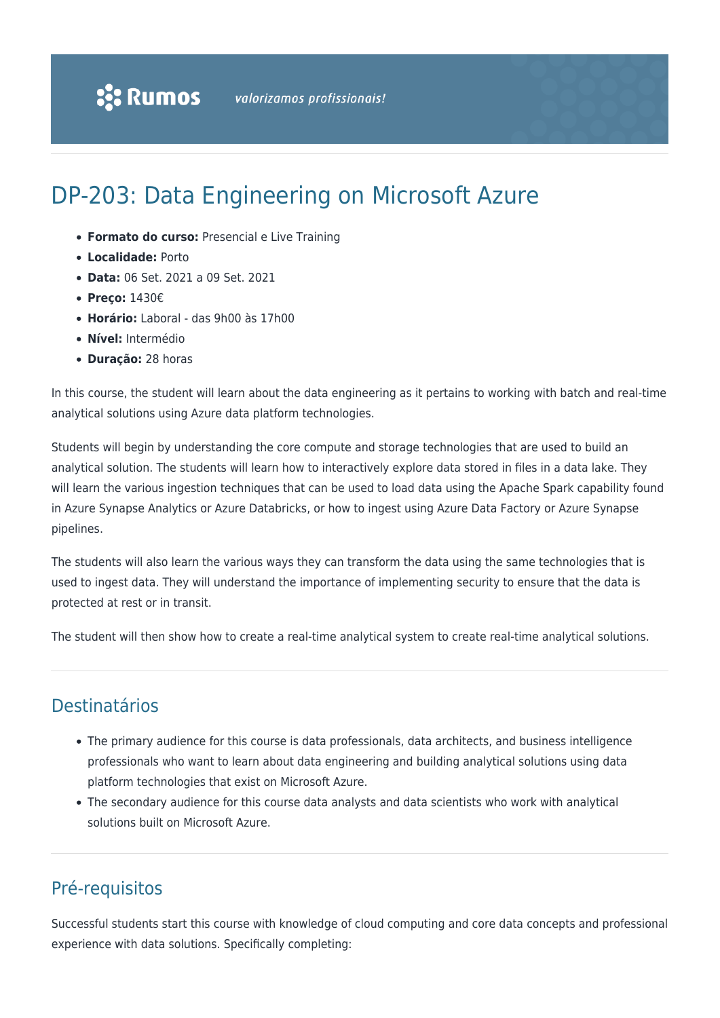# DP-203: Data Engineering on Microsoft Azure

- **Formato do curso:** Presencial e Live Training
- **Localidade:** Porto
- **Data:** 06 Set. 2021 a 09 Set. 2021
- **Preço:** 1430€
- **Horário:** Laboral das 9h00 às 17h00
- **Nível:** Intermédio
- **Duração:** 28 horas

In this course, the student will learn about the data engineering as it pertains to working with batch and real-time analytical solutions using Azure data platform technologies.

Students will begin by understanding the core compute and storage technologies that are used to build an analytical solution. The students will learn how to interactively explore data stored in files in a data lake. They will learn the various ingestion techniques that can be used to load data using the Apache Spark capability found in Azure Synapse Analytics or Azure Databricks, or how to ingest using Azure Data Factory or Azure Synapse pipelines.

The students will also learn the various ways they can transform the data using the same technologies that is used to ingest data. They will understand the importance of implementing security to ensure that the data is protected at rest or in transit.

The student will then show how to create a real-time analytical system to create real-time analytical solutions.

## Destinatários

- The primary audience for this course is data professionals, data architects, and business intelligence professionals who want to learn about data engineering and building analytical solutions using data platform technologies that exist on Microsoft Azure.
- The secondary audience for this course data analysts and data scientists who work with analytical solutions built on Microsoft Azure.

# Pré-requisitos

Successful students start this course with knowledge of cloud computing and core data concepts and professional experience with data solutions. Specifically completing: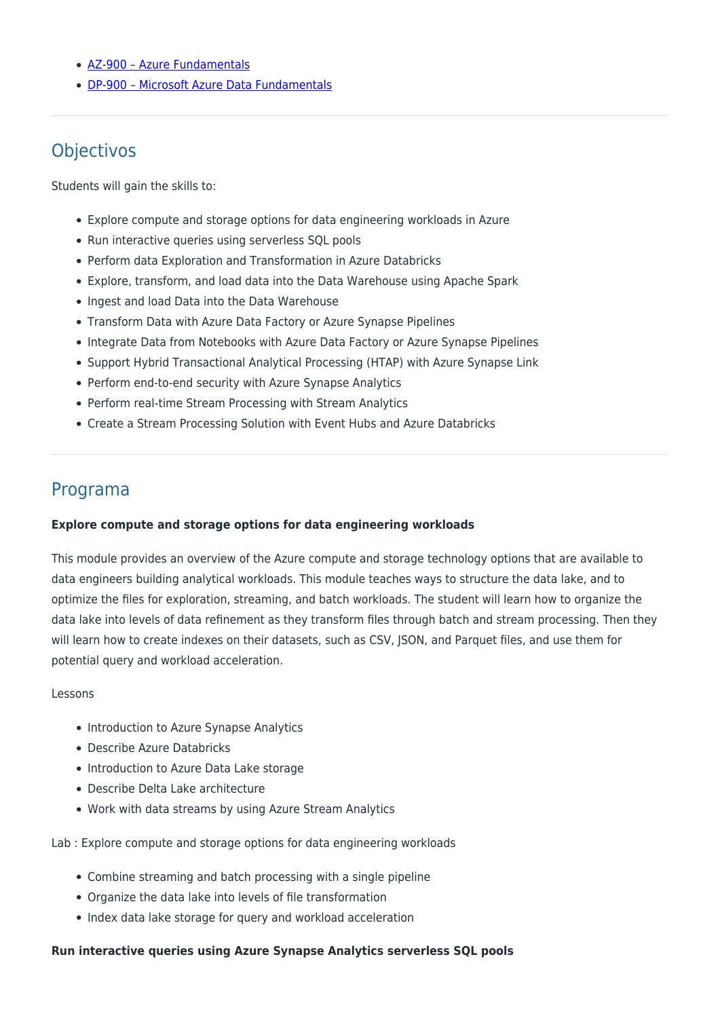- [AZ-900 Azure Fundamentals](https://www.rumos.pt/?p=29606)
- [DP-900 Microsoft Azure Data Fundamentals](https://www.rumos.pt/?p=41534)

### **Objectivos**

Students will gain the skills to:

- Explore compute and storage options for data engineering workloads in Azure
- Run interactive queries using serverless SQL pools
- Perform data Exploration and Transformation in Azure Databricks
- Explore, transform, and load data into the Data Warehouse using Apache Spark
- Ingest and load Data into the Data Warehouse
- Transform Data with Azure Data Factory or Azure Synapse Pipelines
- Integrate Data from Notebooks with Azure Data Factory or Azure Synapse Pipelines
- Support Hybrid Transactional Analytical Processing (HTAP) with Azure Synapse Link
- Perform end-to-end security with Azure Synapse Analytics
- Perform real-time Stream Processing with Stream Analytics
- Create a Stream Processing Solution with Event Hubs and Azure Databricks

### Programa

#### **Explore compute and storage options for data engineering workloads**

This module provides an overview of the Azure compute and storage technology options that are available to data engineers building analytical workloads. This module teaches ways to structure the data lake, and to optimize the files for exploration, streaming, and batch workloads. The student will learn how to organize the data lake into levels of data refinement as they transform files through batch and stream processing. Then they will learn how to create indexes on their datasets, such as CSV, JSON, and Parquet files, and use them for potential query and workload acceleration.

#### Lessons

- Introduction to Azure Synapse Analytics
- Describe Azure Databricks
- Introduction to Azure Data Lake storage
- Describe Delta Lake architecture
- Work with data streams by using Azure Stream Analytics

Lab : Explore compute and storage options for data engineering workloads

- Combine streaming and batch processing with a single pipeline
- Organize the data lake into levels of file transformation
- Index data lake storage for query and workload acceleration

#### **Run interactive queries using Azure Synapse Analytics serverless SQL pools**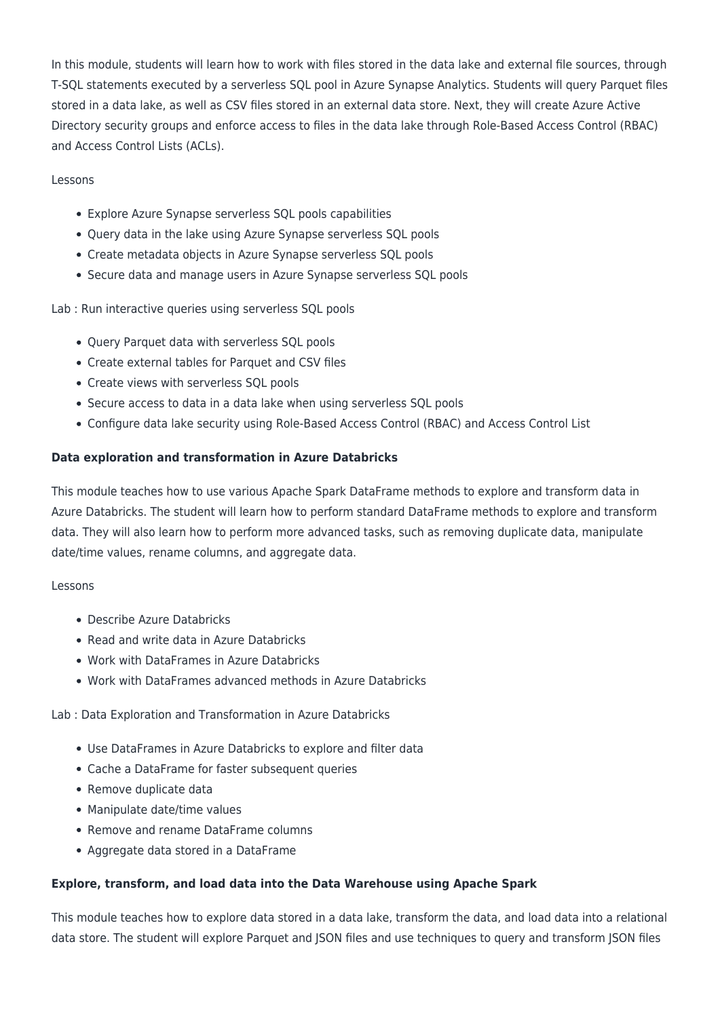In this module, students will learn how to work with files stored in the data lake and external file sources, through T-SQL statements executed by a serverless SQL pool in Azure Synapse Analytics. Students will query Parquet files stored in a data lake, as well as CSV files stored in an external data store. Next, they will create Azure Active Directory security groups and enforce access to files in the data lake through Role-Based Access Control (RBAC) and Access Control Lists (ACLs).

#### Lessons

- Explore Azure Synapse serverless SQL pools capabilities
- Query data in the lake using Azure Synapse serverless SQL pools
- Create metadata objects in Azure Synapse serverless SQL pools
- Secure data and manage users in Azure Synapse serverless SQL pools

Lab : Run interactive queries using serverless SQL pools

- Ouery Parquet data with serverless SOL pools
- Create external tables for Parquet and CSV files
- Create views with serverless SQL pools
- Secure access to data in a data lake when using serverless SQL pools
- Configure data lake security using Role-Based Access Control (RBAC) and Access Control List

#### **Data exploration and transformation in Azure Databricks**

This module teaches how to use various Apache Spark DataFrame methods to explore and transform data in Azure Databricks. The student will learn how to perform standard DataFrame methods to explore and transform data. They will also learn how to perform more advanced tasks, such as removing duplicate data, manipulate date/time values, rename columns, and aggregate data.

#### Lessons

- Describe Azure Databricks
- Read and write data in Azure Databricks
- Work with DataFrames in Azure Databricks
- Work with DataFrames advanced methods in Azure Databricks

#### Lab : Data Exploration and Transformation in Azure Databricks

- Use DataFrames in Azure Databricks to explore and filter data
- Cache a DataFrame for faster subsequent queries
- Remove duplicate data
- Manipulate date/time values
- Remove and rename DataFrame columns
- Aggregate data stored in a DataFrame

#### **Explore, transform, and load data into the Data Warehouse using Apache Spark**

This module teaches how to explore data stored in a data lake, transform the data, and load data into a relational data store. The student will explore Parquet and JSON files and use techniques to query and transform JSON files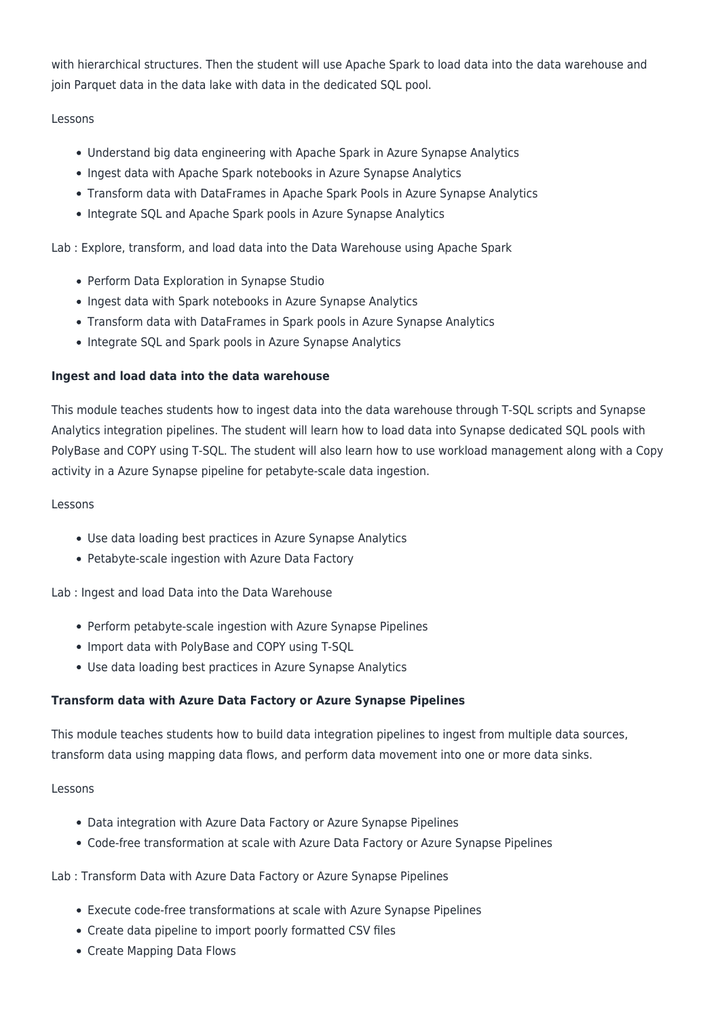with hierarchical structures. Then the student will use Apache Spark to load data into the data warehouse and join Parquet data in the data lake with data in the dedicated SQL pool.

#### Lessons

- Understand big data engineering with Apache Spark in Azure Synapse Analytics
- Ingest data with Apache Spark notebooks in Azure Synapse Analytics
- Transform data with DataFrames in Apache Spark Pools in Azure Synapse Analytics
- Integrate SQL and Apache Spark pools in Azure Synapse Analytics

Lab : Explore, transform, and load data into the Data Warehouse using Apache Spark

- Perform Data Exploration in Synapse Studio
- Ingest data with Spark notebooks in Azure Synapse Analytics
- Transform data with DataFrames in Spark pools in Azure Synapse Analytics
- Integrate SQL and Spark pools in Azure Synapse Analytics

#### **Ingest and load data into the data warehouse**

This module teaches students how to ingest data into the data warehouse through T-SQL scripts and Synapse Analytics integration pipelines. The student will learn how to load data into Synapse dedicated SQL pools with PolyBase and COPY using T-SQL. The student will also learn how to use workload management along with a Copy activity in a Azure Synapse pipeline for petabyte-scale data ingestion.

#### Lessons

- Use data loading best practices in Azure Synapse Analytics
- Petabyte-scale ingestion with Azure Data Factory

Lab : Ingest and load Data into the Data Warehouse

- Perform petabyte-scale ingestion with Azure Synapse Pipelines
- Import data with PolyBase and COPY using T-SQL
- Use data loading best practices in Azure Synapse Analytics

#### **Transform data with Azure Data Factory or Azure Synapse Pipelines**

This module teaches students how to build data integration pipelines to ingest from multiple data sources, transform data using mapping data flows, and perform data movement into one or more data sinks.

#### Lessons

- Data integration with Azure Data Factory or Azure Synapse Pipelines
- Code-free transformation at scale with Azure Data Factory or Azure Synapse Pipelines

#### Lab : Transform Data with Azure Data Factory or Azure Synapse Pipelines

- Execute code-free transformations at scale with Azure Synapse Pipelines
- Create data pipeline to import poorly formatted CSV files
- Create Mapping Data Flows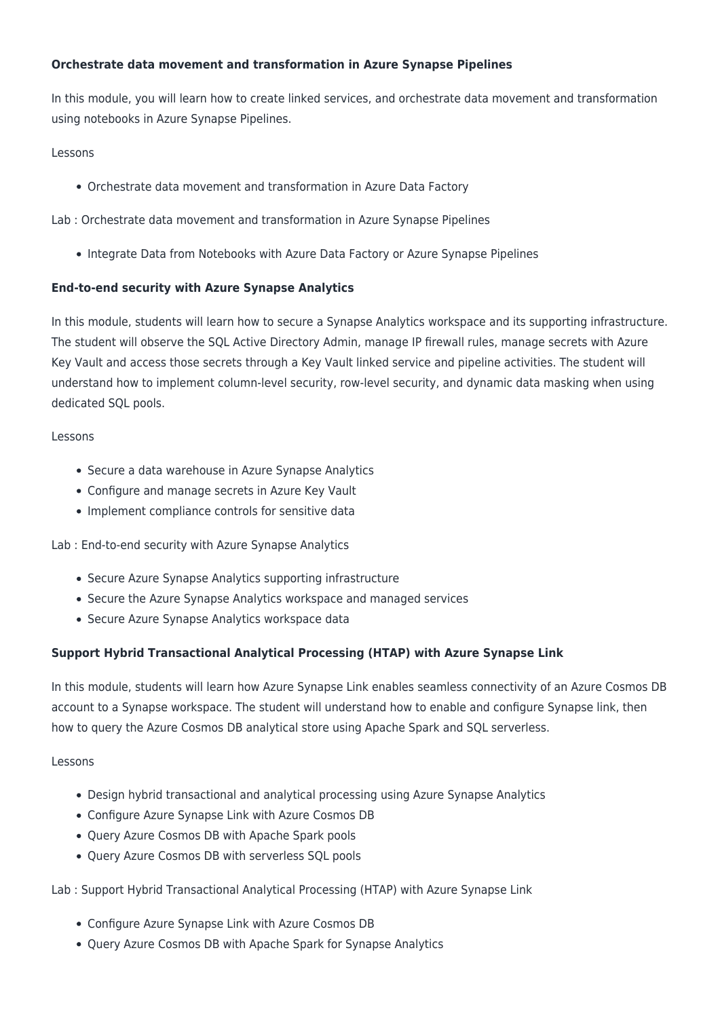#### **Orchestrate data movement and transformation in Azure Synapse Pipelines**

In this module, you will learn how to create linked services, and orchestrate data movement and transformation using notebooks in Azure Synapse Pipelines.

#### Lessons

Orchestrate data movement and transformation in Azure Data Factory

Lab : Orchestrate data movement and transformation in Azure Synapse Pipelines

• Integrate Data from Notebooks with Azure Data Factory or Azure Synapse Pipelines

#### **End-to-end security with Azure Synapse Analytics**

In this module, students will learn how to secure a Synapse Analytics workspace and its supporting infrastructure. The student will observe the SQL Active Directory Admin, manage IP firewall rules, manage secrets with Azure Key Vault and access those secrets through a Key Vault linked service and pipeline activities. The student will understand how to implement column-level security, row-level security, and dynamic data masking when using dedicated SQL pools.

#### Lessons

- Secure a data warehouse in Azure Synapse Analytics
- Configure and manage secrets in Azure Key Vault
- Implement compliance controls for sensitive data

Lab : End-to-end security with Azure Synapse Analytics

- Secure Azure Synapse Analytics supporting infrastructure
- Secure the Azure Synapse Analytics workspace and managed services
- Secure Azure Synapse Analytics workspace data

#### **Support Hybrid Transactional Analytical Processing (HTAP) with Azure Synapse Link**

In this module, students will learn how Azure Synapse Link enables seamless connectivity of an Azure Cosmos DB account to a Synapse workspace. The student will understand how to enable and configure Synapse link, then how to query the Azure Cosmos DB analytical store using Apache Spark and SQL serverless.

#### Lessons

- Design hybrid transactional and analytical processing using Azure Synapse Analytics
- Configure Azure Synapse Link with Azure Cosmos DB
- Query Azure Cosmos DB with Apache Spark pools
- Query Azure Cosmos DB with serverless SQL pools

Lab : Support Hybrid Transactional Analytical Processing (HTAP) with Azure Synapse Link

- Configure Azure Synapse Link with Azure Cosmos DB
- Query Azure Cosmos DB with Apache Spark for Synapse Analytics